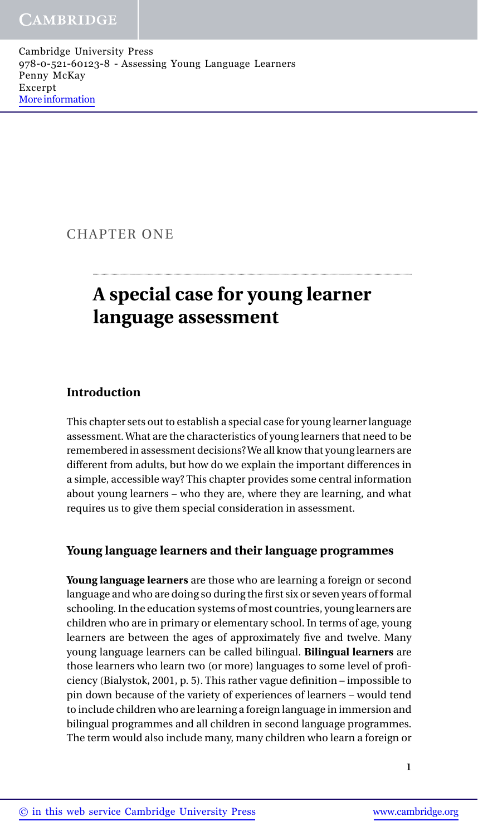CHAPTER ONE

# **A special case for young learner language assessment**

# **Introduction**

This chapter sets out to establish a special case for young learner language assessment. What are the characteristics of young learners that need to be remembered in assessment decisions? We all know that young learners are different from adults, but how do we explain the important differences in a simple, accessible way? This chapter provides some central information about young learners – who they are, where they are learning, and what requires us to give them special consideration in assessment.

# **Young language learners and their language programmes**

**Young language learners** are those who are learning a foreign or second language and who are doing so during the first six or seven years of formal schooling. In the education systems of most countries, young learners are children who are in primary or elementary school. In terms of age, young learners are between the ages of approximately five and twelve. Many young language learners can be called bilingual. **Bilingual learners** are those learners who learn two (or more) languages to some level of proficiency (Bialystok, 2001, p. 5). This rather vague definition – impossible to pin down because of the variety of experiences of learners – would tend to include children who are learning a foreign language in immersion and bilingual programmes and all children in second language programmes. The term would also include many, many children who learn a foreign or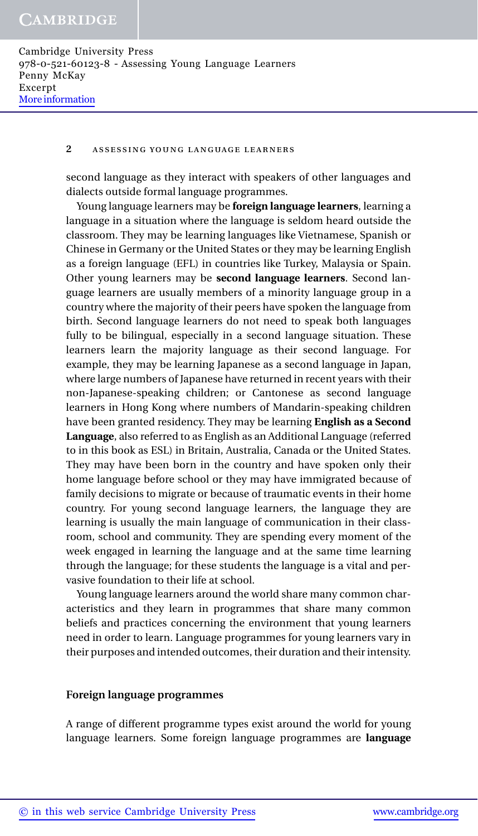second language as they interact with speakers of other languages and dialects outside formal language programmes.

Young language learners may be **foreign language learners**, learning a language in a situation where the language is seldom heard outside the classroom. They may be learning languages like Vietnamese, Spanish or Chinese in Germany or the United States or they may be learning English as a foreign language (EFL) in countries like Turkey, Malaysia or Spain. Other young learners may be **second language learners**. Second language learners are usually members of a minority language group in a country where the majority of their peers have spoken the language from birth. Second language learners do not need to speak both languages fully to be bilingual, especially in a second language situation. These learners learn the majority language as their second language. For example, they may be learning Japanese as a second language in Japan, where large numbers of Japanese have returned in recent years with their non-Japanese-speaking children; or Cantonese as second language learners in Hong Kong where numbers of Mandarin-speaking children have been granted residency. They may be learning **English as a Second Language**, also referred to as English as an Additional Language (referred to in this book as ESL) in Britain, Australia, Canada or the United States. They may have been born in the country and have spoken only their home language before school or they may have immigrated because of family decisions to migrate or because of traumatic events in their home country. For young second language learners, the language they are learning is usually the main language of communication in their classroom, school and community. They are spending every moment of the week engaged in learning the language and at the same time learning through the language; for these students the language is a vital and pervasive foundation to their life at school.

Young language learners around the world share many common characteristics and they learn in programmes that share many common beliefs and practices concerning the environment that young learners need in order to learn. Language programmes for young learners vary in their purposes and intended outcomes, their duration and their intensity.

#### **Foreign language programmes**

A range of different programme types exist around the world for young language learners. Some foreign language programmes are **language**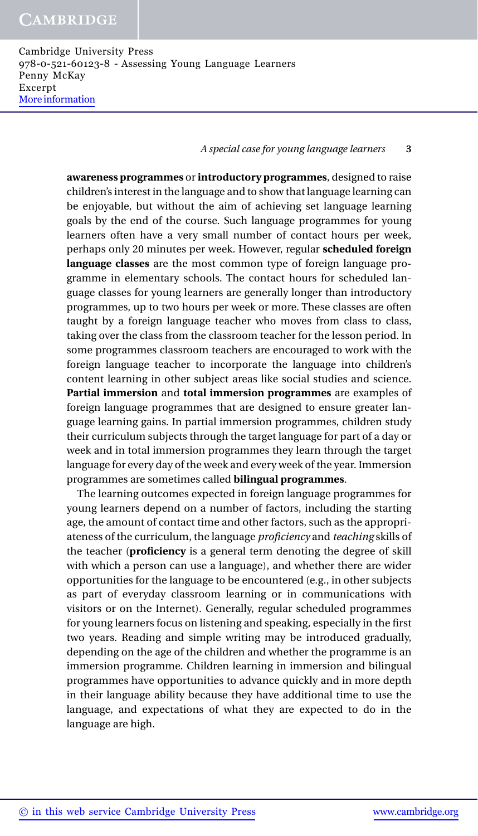#### *A special case for young language learners* **3**

**awareness programmes** or**introductory programmes**, designed to raise children's interest in the language and to show that language learning can be enjoyable, but without the aim of achieving set language learning goals by the end of the course. Such language programmes for young learners often have a very small number of contact hours per week, perhaps only 20 minutes per week. However, regular **scheduled foreign language classes** are the most common type of foreign language programme in elementary schools. The contact hours for scheduled language classes for young learners are generally longer than introductory programmes, up to two hours per week or more. These classes are often taught by a foreign language teacher who moves from class to class, taking over the class from the classroom teacher for the lesson period. In some programmes classroom teachers are encouraged to work with the foreign language teacher to incorporate the language into children's content learning in other subject areas like social studies and science. **Partial immersion** and **total immersion programmes** are examples of foreign language programmes that are designed to ensure greater language learning gains. In partial immersion programmes, children study their curriculum subjects through the target language for part of a day or week and in total immersion programmes they learn through the target language for every day of the week and every week of the year. Immersion programmes are sometimes called **bilingual programmes**.

The learning outcomes expected in foreign language programmes for young learners depend on a number of factors, including the starting age, the amount of contact time and other factors, such as the appropriateness of the curriculum, the language *proficiency* and *teaching* skills of the teacher (**proficiency** is a general term denoting the degree of skill with which a person can use a language), and whether there are wider opportunities for the language to be encountered (e.g., in other subjects as part of everyday classroom learning or in communications with visitors or on the Internet). Generally, regular scheduled programmes for young learners focus on listening and speaking, especially in the first two years. Reading and simple writing may be introduced gradually, depending on the age of the children and whether the programme is an immersion programme. Children learning in immersion and bilingual programmes have opportunities to advance quickly and in more depth in their language ability because they have additional time to use the language, and expectations of what they are expected to do in the language are high.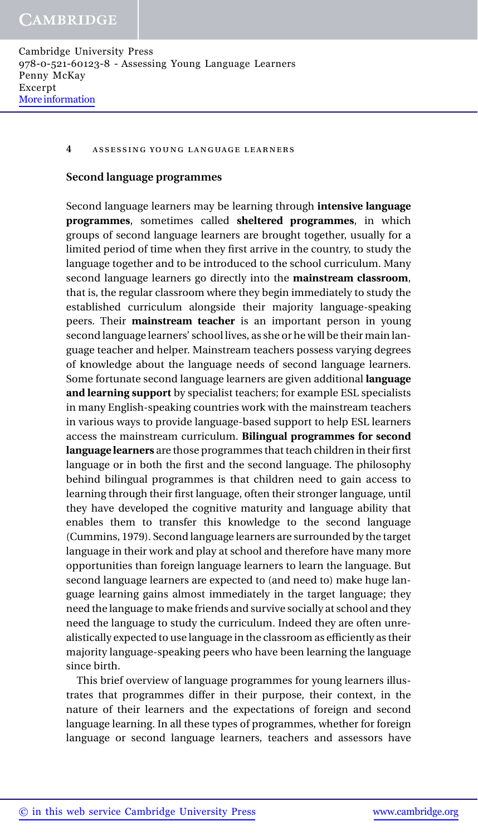### **Second language programmes**

Second language learners may be learning through **intensive language programmes**, sometimes called **sheltered programmes**, in which groups of second language learners are brought together, usually for a limited period of time when they first arrive in the country, to study the language together and to be introduced to the school curriculum. Many second language learners go directly into the **mainstream classroom**, that is, the regular classroom where they begin immediately to study the established curriculum alongside their majority language-speaking peers. Their **mainstream teacher** is an important person in young second language learners' school lives, as she or he will be their main language teacher and helper. Mainstream teachers possess varying degrees of knowledge about the language needs of second language learners. Some fortunate second language learners are given additional **language and learning support** by specialist teachers; for example ESL specialists in many English-speaking countries work with the mainstream teachers in various ways to provide language-based support to help ESL learners access the mainstream curriculum. **Bilingual programmes for second language learners** are those programmes that teach children in their first language or in both the first and the second language. The philosophy behind bilingual programmes is that children need to gain access to learning through their first language, often their stronger language, until they have developed the cognitive maturity and language ability that enables them to transfer this knowledge to the second language (Cummins, 1979). Second language learners are surrounded by the target language in their work and play at school and therefore have many more opportunities than foreign language learners to learn the language. But second language learners are expected to (and need to) make huge language learning gains almost immediately in the target language; they need the language to make friends and survive socially at school and they need the language to study the curriculum. Indeed they are often unrealistically expected to use language in the classroom as efficiently as their majority language-speaking peers who have been learning the language since birth.

This brief overview of language programmes for young learners illustrates that programmes differ in their purpose, their context, in the nature of their learners and the expectations of foreign and second language learning. In all these types of programmes, whether for foreign language or second language learners, teachers and assessors have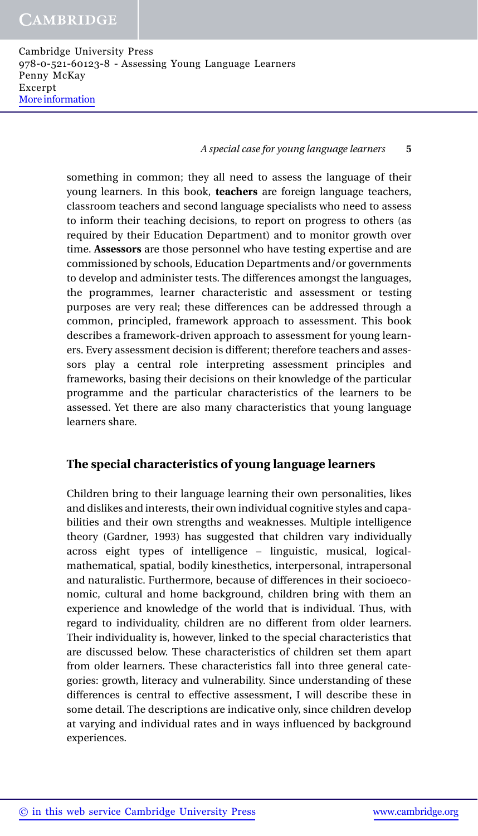#### *A special case for young language learners* **5**

something in common; they all need to assess the language of their young learners. In this book, **teachers** are foreign language teachers, classroom teachers and second language specialists who need to assess to inform their teaching decisions, to report on progress to others (as required by their Education Department) and to monitor growth over time. **Assessors** are those personnel who have testing expertise and are commissioned by schools, Education Departments and/or governments to develop and administer tests. The differences amongst the languages, the programmes, learner characteristic and assessment or testing purposes are very real; these differences can be addressed through a common, principled, framework approach to assessment. This book describes a framework-driven approach to assessment for young learners. Every assessment decision is different; therefore teachers and assessors play a central role interpreting assessment principles and frameworks, basing their decisions on their knowledge of the particular programme and the particular characteristics of the learners to be assessed. Yet there are also many characteristics that young language learners share.

## **The special characteristics of young language learners**

Children bring to their language learning their own personalities, likes and dislikes and interests, their own individual cognitive styles and capabilities and their own strengths and weaknesses. Multiple intelligence theory (Gardner, 1993) has suggested that children vary individually across eight types of intelligence – linguistic, musical, logicalmathematical, spatial, bodily kinesthetics, interpersonal, intrapersonal and naturalistic. Furthermore, because of differences in their socioeconomic, cultural and home background, children bring with them an experience and knowledge of the world that is individual. Thus, with regard to individuality, children are no different from older learners. Their individuality is, however, linked to the special characteristics that are discussed below. These characteristics of children set them apart from older learners. These characteristics fall into three general categories: growth, literacy and vulnerability. Since understanding of these differences is central to effective assessment, I will describe these in some detail. The descriptions are indicative only, since children develop at varying and individual rates and in ways influenced by background experiences.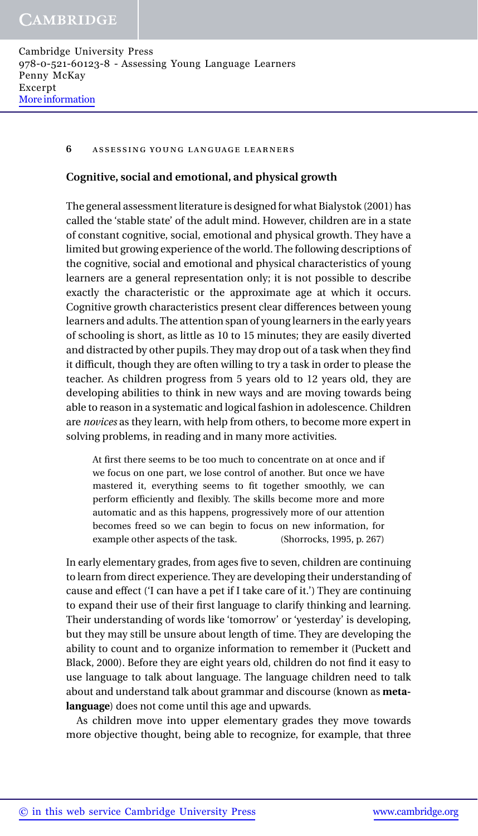## **Cognitive, social and emotional, and physical growth**

The general assessment literature is designed for what Bialystok (2001) has called the 'stable state' of the adult mind. However, children are in a state of constant cognitive, social, emotional and physical growth. They have a limited but growing experience of the world. The following descriptions of the cognitive, social and emotional and physical characteristics of young learners are a general representation only; it is not possible to describe exactly the characteristic or the approximate age at which it occurs. Cognitive growth characteristics present clear differences between young learners and adults. The attention span of young learners in the early years of schooling is short, as little as 10 to 15 minutes; they are easily diverted and distracted by other pupils. They may drop out of a task when they find it difficult, though they are often willing to try a task in order to please the teacher. As children progress from 5 years old to 12 years old, they are developing abilities to think in new ways and are moving towards being able to reason in a systematic and logical fashion in adolescence. Children are *novices* as they learn, with help from others, to become more expert in solving problems, in reading and in many more activities.

At first there seems to be too much to concentrate on at once and if we focus on one part, we lose control of another. But once we have mastered it, everything seems to fit together smoothly, we can perform efficiently and flexibly. The skills become more and more automatic and as this happens, progressively more of our attention becomes freed so we can begin to focus on new information, for example other aspects of the task. (Shorrocks, 1995, p. 267)

In early elementary grades, from ages five to seven, children are continuing to learn from direct experience. They are developing their understanding of cause and effect ('I can have a pet if I take care of it.') They are continuing to expand their use of their first language to clarify thinking and learning. Their understanding of words like 'tomorrow' or 'yesterday' is developing, but they may still be unsure about length of time. They are developing the ability to count and to organize information to remember it (Puckett and Black, 2000). Before they are eight years old, children do not find it easy to use language to talk about language. The language children need to talk about and understand talk about grammar and discourse (known as **metalanguage**) does not come until this age and upwards.

As children move into upper elementary grades they move towards more objective thought, being able to recognize, for example, that three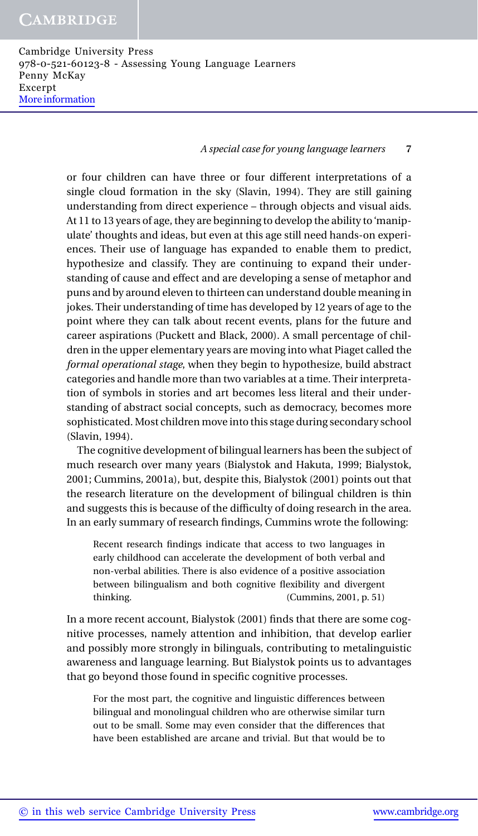#### *A special case for young language learners* **7**

or four children can have three or four different interpretations of a single cloud formation in the sky (Slavin, 1994). They are still gaining understanding from direct experience – through objects and visual aids. At 11 to 13 years of age, they are beginning to develop the ability to 'manipulate' thoughts and ideas, but even at this age still need hands-on experiences. Their use of language has expanded to enable them to predict, hypothesize and classify. They are continuing to expand their understanding of cause and effect and are developing a sense of metaphor and puns and by around eleven to thirteen can understand double meaning in jokes. Their understanding of time has developed by 12 years of age to the point where they can talk about recent events, plans for the future and career aspirations (Puckett and Black, 2000). A small percentage of children in the upper elementary years are moving into what Piaget called the *formal operational stage*, when they begin to hypothesize, build abstract categories and handle more than two variables at a time. Their interpretation of symbols in stories and art becomes less literal and their understanding of abstract social concepts, such as democracy, becomes more sophisticated. Most children move into this stage during secondary school (Slavin, 1994).

The cognitive development of bilingual learners has been the subject of much research over many years (Bialystok and Hakuta, 1999; Bialystok, 2001; Cummins, 2001a), but, despite this, Bialystok (2001) points out that the research literature on the development of bilingual children is thin and suggests this is because of the difficulty of doing research in the area. In an early summary of research findings, Cummins wrote the following:

Recent research findings indicate that access to two languages in early childhood can accelerate the development of both verbal and non-verbal abilities. There is also evidence of a positive association between bilingualism and both cognitive flexibility and divergent thinking. (Cummins, 2001, p. 51)

In a more recent account, Bialystok (2001) finds that there are some cognitive processes, namely attention and inhibition, that develop earlier and possibly more strongly in bilinguals, contributing to metalinguistic awareness and language learning. But Bialystok points us to advantages that go beyond those found in specific cognitive processes.

For the most part, the cognitive and linguistic differences between bilingual and monolingual children who are otherwise similar turn out to be small. Some may even consider that the differences that have been established are arcane and trivial. But that would be to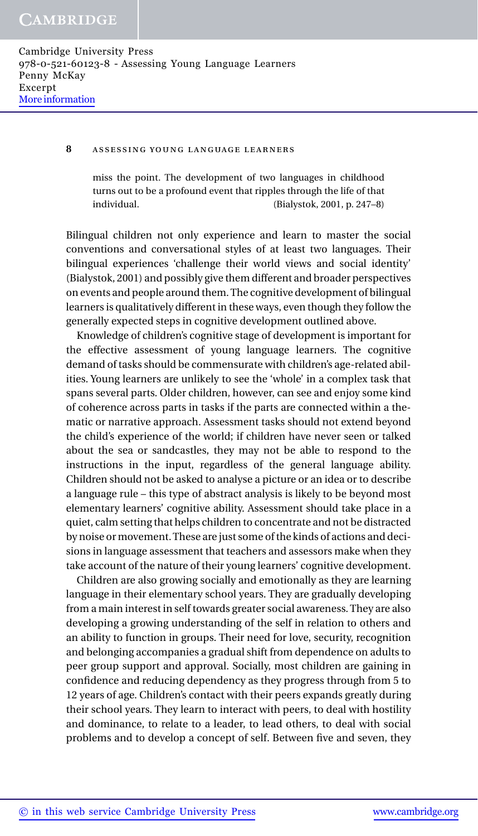miss the point. The development of two languages in childhood turns out to be a profound event that ripples through the life of that individual. (Bialystok, 2001, p. 247–8)

Bilingual children not only experience and learn to master the social conventions and conversational styles of at least two languages. Their bilingual experiences 'challenge their world views and social identity' (Bialystok, 2001) and possibly give them different and broader perspectives on events and people around them. The cognitive development of bilingual learners is qualitatively different in these ways, even though they follow the generally expected steps in cognitive development outlined above.

Knowledge of children's cognitive stage of development is important for the effective assessment of young language learners. The cognitive demand of tasks should be commensurate with children's age-related abilities. Young learners are unlikely to see the 'whole' in a complex task that spans several parts. Older children, however, can see and enjoy some kind of coherence across parts in tasks if the parts are connected within a thematic or narrative approach. Assessment tasks should not extend beyond the child's experience of the world; if children have never seen or talked about the sea or sandcastles, they may not be able to respond to the instructions in the input, regardless of the general language ability. Children should not be asked to analyse a picture or an idea or to describe a language rule – this type of abstract analysis is likely to be beyond most elementary learners' cognitive ability. Assessment should take place in a quiet, calm setting that helps children to concentrate and not be distracted by noise or movement. These are just some of the kinds of actions and decisions in language assessment that teachers and assessors make when they take account of the nature of their young learners' cognitive development.

Children are also growing socially and emotionally as they are learning language in their elementary school years. They are gradually developing from a main interest in self towards greater social awareness. They are also developing a growing understanding of the self in relation to others and an ability to function in groups. Their need for love, security, recognition and belonging accompanies a gradual shift from dependence on adults to peer group support and approval. Socially, most children are gaining in confidence and reducing dependency as they progress through from 5 to 12 years of age. Children's contact with their peers expands greatly during their school years. They learn to interact with peers, to deal with hostility and dominance, to relate to a leader, to lead others, to deal with social problems and to develop a concept of self. Between five and seven, they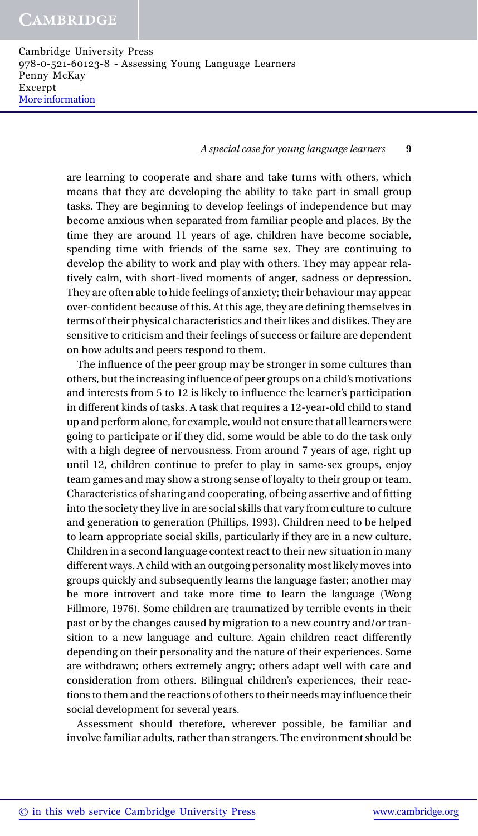#### *A special case for young language learners* **9**

are learning to cooperate and share and take turns with others, which means that they are developing the ability to take part in small group tasks. They are beginning to develop feelings of independence but may become anxious when separated from familiar people and places. By the time they are around 11 years of age, children have become sociable, spending time with friends of the same sex. They are continuing to develop the ability to work and play with others. They may appear relatively calm, with short-lived moments of anger, sadness or depression. They are often able to hide feelings of anxiety; their behaviour may appear over-confident because of this. At this age, they are defining themselves in terms of their physical characteristics and their likes and dislikes. They are sensitive to criticism and their feelings of success or failure are dependent on how adults and peers respond to them.

The influence of the peer group may be stronger in some cultures than others, but the increasing influence of peer groups on a child's motivations and interests from 5 to 12 is likely to influence the learner's participation in different kinds of tasks. A task that requires a 12-year-old child to stand up and perform alone, for example, would not ensure that all learners were going to participate or if they did, some would be able to do the task only with a high degree of nervousness. From around 7 years of age, right up until 12, children continue to prefer to play in same-sex groups, enjoy team games and may show a strong sense of loyalty to their group or team. Characteristics of sharing and cooperating, of being assertive and of fitting into the society they live in are social skills that vary from culture to culture and generation to generation (Phillips, 1993). Children need to be helped to learn appropriate social skills, particularly if they are in a new culture. Children in a second language context react to their new situation in many different ways. A child with an outgoing personality most likely moves into groups quickly and subsequently learns the language faster; another may be more introvert and take more time to learn the language (Wong Fillmore, 1976). Some children are traumatized by terrible events in their past or by the changes caused by migration to a new country and/or transition to a new language and culture. Again children react differently depending on their personality and the nature of their experiences. Some are withdrawn; others extremely angry; others adapt well with care and consideration from others. Bilingual children's experiences, their reactions to them and the reactions of others to their needs may influence their social development for several years.

Assessment should therefore, wherever possible, be familiar and involve familiar adults, rather than strangers. The environment should be